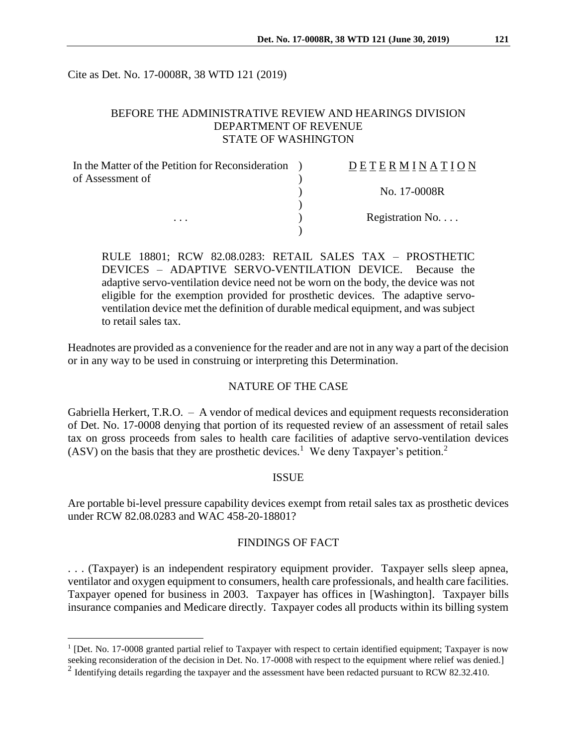Cite as Det. No. 17-0008R, 38 WTD 121 (2019)

## BEFORE THE ADMINISTRATIVE REVIEW AND HEARINGS DIVISION DEPARTMENT OF REVENUE STATE OF WASHINGTON

| In the Matter of the Petition for Reconsideration<br>of Assessment of | DETERMINATION            |
|-----------------------------------------------------------------------|--------------------------|
|                                                                       | No. 17-0008R             |
| .                                                                     | Registration No. $\dots$ |
|                                                                       |                          |

RULE 18801; RCW 82.08.0283: RETAIL SALES TAX – PROSTHETIC DEVICES – ADAPTIVE SERVO-VENTILATION DEVICE. Because the adaptive servo-ventilation device need not be worn on the body, the device was not eligible for the exemption provided for prosthetic devices. The adaptive servoventilation device met the definition of durable medical equipment, and was subject to retail sales tax.

Headnotes are provided as a convenience for the reader and are not in any way a part of the decision or in any way to be used in construing or interpreting this Determination.

#### NATURE OF THE CASE

Gabriella Herkert, T.R.O. – A vendor of medical devices and equipment requests reconsideration of Det. No. 17-0008 denying that portion of its requested review of an assessment of retail sales tax on gross proceeds from sales to health care facilities of adaptive servo-ventilation devices  $(ASV)$  on the basis that they are prosthetic devices.<sup>1</sup> We deny Taxpayer's petition.<sup>2</sup>

### ISSUE

Are portable bi-level pressure capability devices exempt from retail sales tax as prosthetic devices under RCW 82.08.0283 and WAC 458-20-18801?

## FINDINGS OF FACT

. . . (Taxpayer) is an independent respiratory equipment provider. Taxpayer sells sleep apnea, ventilator and oxygen equipment to consumers, health care professionals, and health care facilities. Taxpayer opened for business in 2003. Taxpayer has offices in [Washington]. Taxpayer bills insurance companies and Medicare directly. Taxpayer codes all products within its billing system

 $\overline{a}$ 

<sup>&</sup>lt;sup>1</sup> [Det. No. 17-0008 granted partial relief to Taxpayer with respect to certain identified equipment; Taxpayer is now seeking reconsideration of the decision in Det. No. 17-0008 with respect to the equipment where relief was denied.]

<sup>&</sup>lt;sup>2</sup> Identifying details regarding the taxpayer and the assessment have been redacted pursuant to RCW 82.32.410.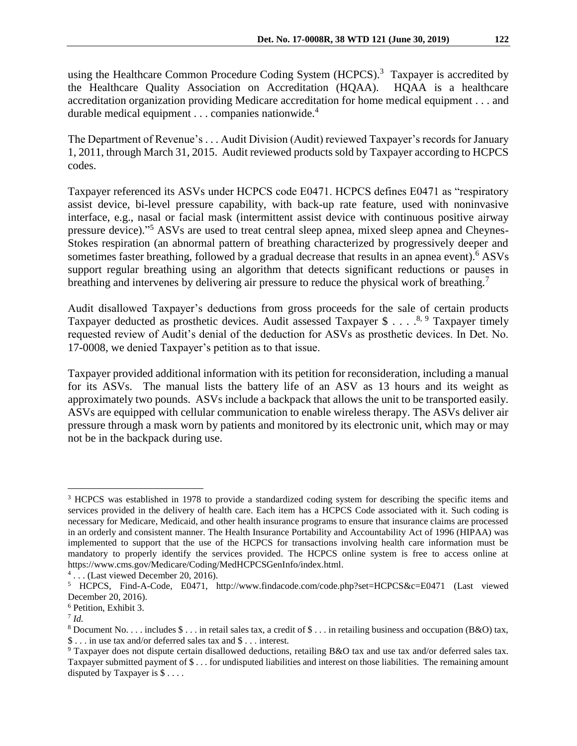The Department of Revenue's . . . Audit Division (Audit) reviewed Taxpayer's records for January 1, 2011, through March 31, 2015. Audit reviewed products sold by Taxpayer according to HCPCS codes.

Taxpayer referenced its ASVs under HCPCS code E0471. HCPCS defines E0471 as "respiratory assist device, bi-level pressure capability, with back-up rate feature, used with noninvasive interface, e.g., nasal or facial mask (intermittent assist device with continuous positive airway pressure device)."<sup>5</sup> ASVs are used to treat central sleep apnea, mixed sleep apnea and Cheynes-Stokes respiration (an abnormal pattern of breathing characterized by progressively deeper and sometimes faster breathing, followed by a gradual decrease that results in an apnea event).<sup>6</sup> ASVs support regular breathing using an algorithm that detects significant reductions or pauses in breathing and intervenes by delivering air pressure to reduce the physical work of breathing.<sup>7</sup>

Audit disallowed Taxpayer's deductions from gross proceeds for the sale of certain products Taxpayer deducted as prosthetic devices. Audit assessed Taxpayer \$ . . . .<sup>8, 9</sup> Taxpayer timely requested review of Audit's denial of the deduction for ASVs as prosthetic devices. In Det. No. 17-0008, we denied Taxpayer's petition as to that issue.

Taxpayer provided additional information with its petition for reconsideration, including a manual for its ASVs. The manual lists the battery life of an ASV as 13 hours and its weight as approximately two pounds. ASVs include a backpack that allows the unit to be transported easily. ASVs are equipped with cellular communication to enable wireless therapy. The ASVs deliver air pressure through a mask worn by patients and monitored by its electronic unit, which may or may not be in the backpack during use.

 $\overline{a}$ <sup>3</sup> HCPCS was established in 1978 to provide a standardized coding system for describing the specific items and services provided in the delivery of health care. Each item has a HCPCS Code associated with it. Such coding is necessary for Medicare, Medicaid, and other health insurance programs to ensure that insurance claims are processed in an orderly and consistent manner. The Health Insurance Portability and Accountability Act of 1996 (HIPAA) was implemented to support that the use of the HCPCS for transactions involving health care information must be mandatory to properly identify the services provided. The HCPCS online system is free to access online at https://www.cms.gov/Medicare/Coding/MedHCPCSGenInfo/index.html.

<sup>4</sup> . . . (Last viewed December 20, 2016).

<sup>5</sup> HCPCS, Find-A-Code, E0471, http://www.findacode.com/code.php?set=HCPCS&c=E0471 (Last viewed December 20, 2016).

<sup>6</sup> Petition, Exhibit 3.

<sup>7</sup> *Id.*

<sup>8</sup> Document No. . . . includes \$ . . . in retail sales tax, a credit of \$ . . . in retailing business and occupation (B&O) tax, \$ . . . in use tax and/or deferred sales tax and \$ . . . interest.

<sup>9</sup> Taxpayer does not dispute certain disallowed deductions, retailing B&O tax and use tax and/or deferred sales tax. Taxpayer submitted payment of \$ . . . for undisputed liabilities and interest on those liabilities. The remaining amount disputed by Taxpayer is \$ . . . .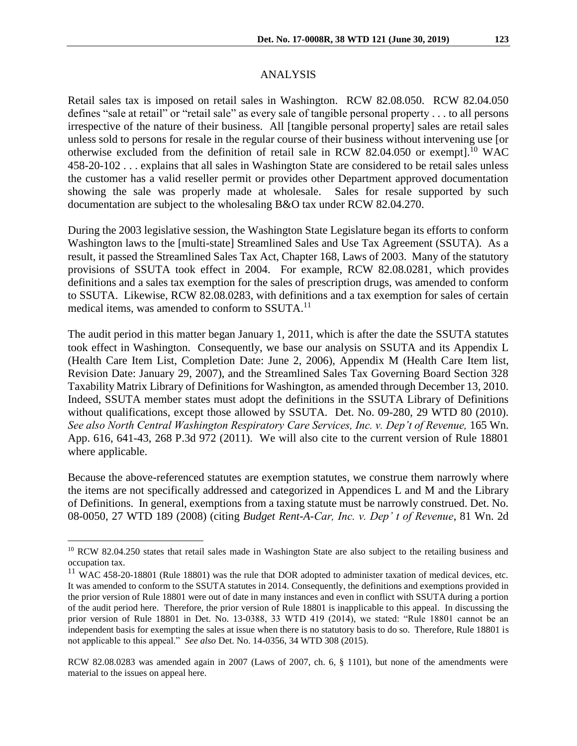Retail sales tax is imposed on retail sales in Washington. RCW 82.08.050. RCW 82.04.050 defines "sale at retail" or "retail sale" as every sale of tangible personal property . . . to all persons irrespective of the nature of their business. All [tangible personal property] sales are retail sales unless sold to persons for resale in the regular course of their business without intervening use [or otherwise excluded from the definition of retail sale in RCW 82.04.050 or exempt].<sup>10</sup> WAC 458-20-102 . . . explains that all sales in Washington State are considered to be retail sales unless the customer has a valid reseller permit or provides other Department approved documentation showing the sale was properly made at wholesale. Sales for resale supported by such documentation are subject to the wholesaling B&O tax under RCW 82.04.270.

During the 2003 legislative session, the Washington State Legislature began its efforts to conform Washington laws to the [multi-state] Streamlined Sales and Use Tax Agreement (SSUTA). As a result, it passed the Streamlined Sales Tax Act, Chapter 168, Laws of 2003. Many of the statutory provisions of SSUTA took effect in 2004. For example, RCW 82.08.0281, which provides definitions and a sales tax exemption for the sales of prescription drugs, was amended to conform to SSUTA. Likewise, RCW 82.08.0283, with definitions and a tax exemption for sales of certain medical items, was amended to conform to SSUTA.<sup>11</sup>

The audit period in this matter began January 1, 2011, which is after the date the SSUTA statutes took effect in Washington. Consequently, we base our analysis on SSUTA and its Appendix L (Health Care Item List, Completion Date: June 2, 2006), Appendix M (Health Care Item list, Revision Date: January 29, 2007), and the Streamlined Sales Tax Governing Board Section 328 Taxability Matrix Library of Definitions for Washington, as amended through December 13, 2010. Indeed, SSUTA member states must adopt the definitions in the SSUTA Library of Definitions without qualifications, except those allowed by SSUTA. Det. No. 09-280, 29 WTD 80 (2010). *See also North Central Washington Respiratory Care Services, Inc. v. Dep't of Revenue,* 165 Wn. App. 616, 641-43, 268 P.3d 972 (2011). We will also cite to the current version of Rule 18801 where applicable.

Because the above-referenced statutes are exemption statutes, we construe them narrowly where the items are not specifically addressed and categorized in Appendices L and M and the Library of Definitions. In general, exemptions from a taxing statute must be narrowly construed. Det. No. 08-0050, 27 WTD 189 (2008) (citing *Budget Rent-A-Car, Inc. v. Dep' t of Revenue*, 81 Wn. 2d

 $\overline{a}$ 

<sup>&</sup>lt;sup>10</sup> RCW 82.04.250 states that retail sales made in Washington State are also subject to the retailing business and occupation tax.

 $11$  WAC 458-20-18801 (Rule 18801) was the rule that DOR adopted to administer taxation of medical devices, etc. It was amended to conform to the SSUTA statutes in 2014. Consequently, the definitions and exemptions provided in the prior version of Rule 18801 were out of date in many instances and even in conflict with SSUTA during a portion of the audit period here. Therefore, the prior version of Rule 18801 is inapplicable to this appeal. In discussing the prior version of Rule 18801 in Det. No. 13-0388, 33 WTD 419 (2014), we stated: "Rule 18801 cannot be an independent basis for exempting the sales at issue when there is no statutory basis to do so. Therefore, Rule 18801 is not applicable to this appeal." *See also* Det. No. 14-0356, 34 WTD 308 (2015).

RCW 82.08.0283 was amended again in 2007 (Laws of 2007, ch. 6, § 1101), but none of the amendments were material to the issues on appeal here.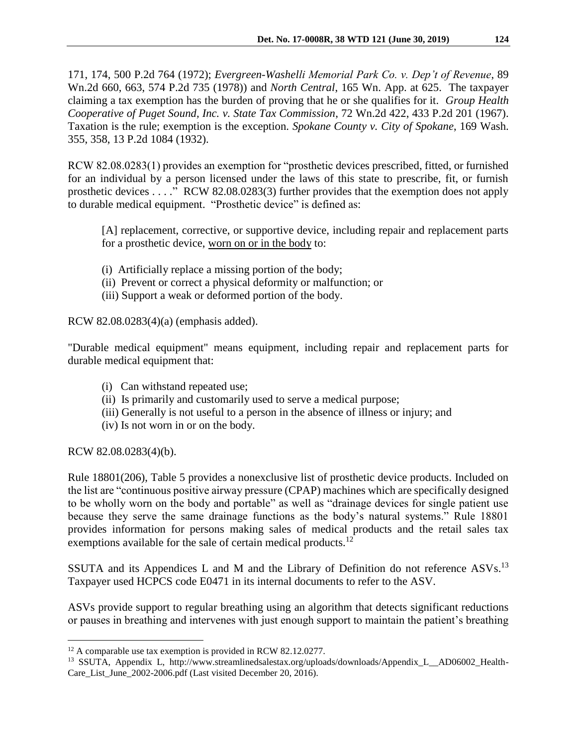171, 174, 500 P.2d 764 (1972); *Evergreen-Washelli Memorial Park Co. v. Dep't of Revenue*, 89 Wn.2d 660, 663, 574 P.2d 735 (1978)) and *North Central*, 165 Wn. App. at 625. The taxpayer claiming a tax exemption has the burden of proving that he or she qualifies for it. *Group Health Cooperative of Puget Sound, Inc. v. State Tax Commission*, 72 Wn.2d 422, 433 P.2d 201 (1967). Taxation is the rule; exemption is the exception. *Spokane County v. City of Spokane*, 169 Wash. 355, 358, 13 P.2d 1084 (1932).

RCW 82.08.0283(1) provides an exemption for "prosthetic devices prescribed, fitted, or furnished for an individual by a person licensed under the laws of this state to prescribe, fit, or furnish prosthetic devices . . . ." RCW 82.08.0283(3) further provides that the exemption does not apply to durable medical equipment. "Prosthetic device" is defined as:

[A] replacement, corrective, or supportive device, including repair and replacement parts for a prosthetic device, worn on or in the body to:

- (i) Artificially replace a missing portion of the body;
- (ii) Prevent or correct a physical deformity or malfunction; or
- (iii) Support a weak or deformed portion of the body.

RCW 82.08.0283(4)(a) (emphasis added).

"Durable medical equipment" means equipment, including repair and replacement parts for durable medical equipment that:

- (i) Can withstand repeated use;
- (ii) Is primarily and customarily used to serve a medical purpose;
- (iii) Generally is not useful to a person in the absence of illness or injury; and
- (iv) Is not worn in or on the body.

RCW 82.08.0283(4)(b).

 $\overline{a}$ 

Rule 18801(206), Table 5 provides a nonexclusive list of prosthetic device products. Included on the list are "continuous positive airway pressure (CPAP) machines which are specifically designed to be wholly worn on the body and portable" as well as "drainage devices for single patient use because they serve the same drainage functions as the body's natural systems." Rule 18801 provides information for persons making sales of medical products and the retail sales tax exemptions available for the sale of certain medical products.<sup>12</sup>

SSUTA and its Appendices L and M and the Library of Definition do not reference ASVs.<sup>13</sup> Taxpayer used HCPCS code E0471 in its internal documents to refer to the ASV.

ASVs provide support to regular breathing using an algorithm that detects significant reductions or pauses in breathing and intervenes with just enough support to maintain the patient's breathing

<sup>&</sup>lt;sup>12</sup> A comparable use tax exemption is provided in RCW 82.12.0277.

<sup>13</sup> SSUTA, Appendix L, http://www.streamlinedsalestax.org/uploads/downloads/Appendix\_L\_\_AD06002\_Health-Care\_List\_June\_2002-2006.pdf (Last visited December 20, 2016).